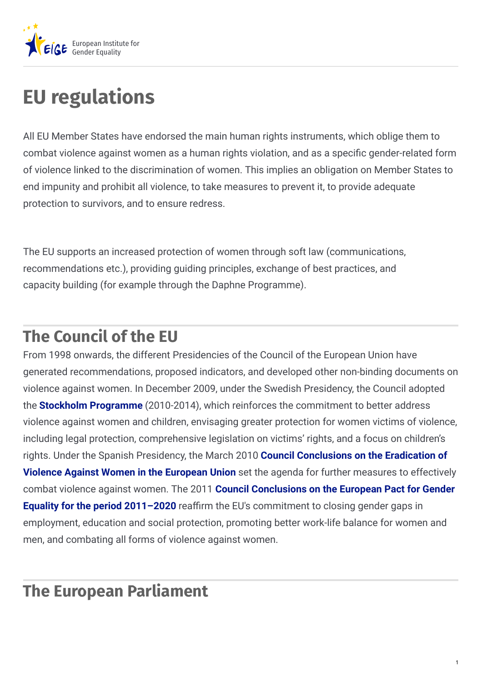

# **EU regulations**

All EU Member States have endorsed the main human rights instruments, which oblige them to combat violence against women as a human rights violation, and as a specific gender-related form of violence linked to the discrimination of women. This implies an obligation on Member States to end impunity and prohibit all violence, to take measures to prevent it, to provide adequate protection to survivors, and to ensure redress.

The EU supports an increased protection of women through soft law (communications, recommendations etc.), providing guiding principles, exchange of best practices, and capacity building (for example through the Daphne Programme).

## **The Council of the EU**

From 1998 onwards, the different Presidencies of the Council of the European Union have generated recommendations, proposed indicators, and developed other non-binding documents on violence against women. In December 2009, under the Swedish Presidency, the Council adopted the **Stockholm [Programme](http://eur-lex.europa.eu/legal-content/EN/TXT/?uri=celex:52010XG0504(01))** (2010-2014), which reinforces the commitment to better address violence against women and children, envisaging greater protection for women victims of violence, including legal protection, comprehensive legislation on victims' rights, and a focus on children's rights. Under the Spanish Presidency, the March 2010 **Council [Conclusions](https://www.consilium.europa.eu/uedocs/cms_data/docs/pressdata/en/lsa/113226.pdf) on the Eradication of Violence Against Women in the European Union** set the agenda for further measures to effectively combat violence against women. The 2011 **Council [Conclusions](https://www.consilium.europa.eu/uedocs/cms_data/docs/pressdata/en/lsa/119628.pdf) on the European Pact for Gender Equality for the period 2011–2020** reaffirm the EU's commitment to closing gender gaps in employment, education and social protection, promoting better work-life balance for women and men, and combating all forms of violence against women.

### **The European Parliament**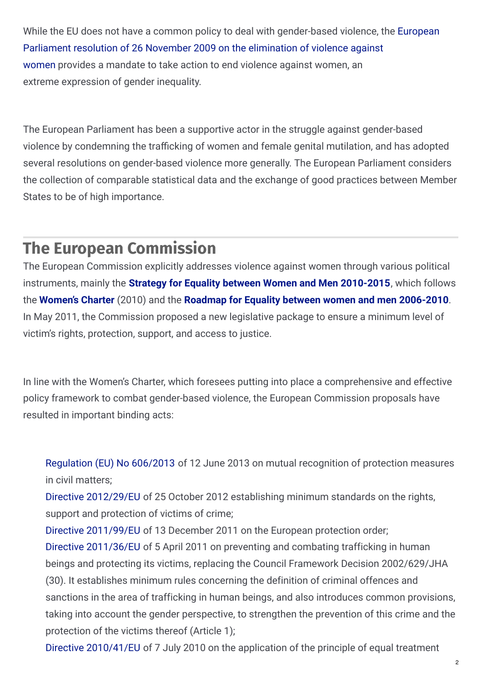While the EU does not have a common policy to deal with [gender-based](http://www.europarl.europa.eu/sides/getDoc.do?pubRef=-//EP//TEXT+TA+P7-TA-2009-0098+0+DOC+XML+V0//EN) violence, the European Parliament resolution of 26 November 2009 on the elimination of violence against women provides a mandate to take action to end violence against women, an extreme expression of gender inequality.

The European Parliament has been a supportive actor in the struggle against gender-based violence by condemning the trafficking of women and female genital mutilation, and has adopted several resolutions on gender-based violence more generally. The European Parliament considers the collection of comparable statistical data and the exchange of good practices between Member States to be of high importance.

#### **The European Commission**

The European Commission explicitly addresses violence against women through various political instruments, mainly the **Strategy for Equality between Women and Men [2010-2015](http://ec.europa.eu/justice/gender-equality/files/strategy_equality_women_men_en.pdf)**, which follows the **[Women's](http://ec.europa.eu/archives/commission_2010-2014/president/news/documents/pdf/20100305_1_en.pdf) Charter** (2010) and the **Roadmap for Equality between women and men [2006-2010](http://eur-lex.europa.eu/legal-content/EN/TXT/?uri=URISERV:c10404)**. In May 2011, the Commission proposed a new legislative package to ensure a minimum level of victim's rights, protection, support, and access to justice.

In line with the Women's Charter, which foresees putting into place a comprehensive and effective policy framework to combat gender-based violence, the European Commission proposals have resulted in important binding acts:

[Regulation](http://eur-lex.europa.eu/LexUriServ/LexUriServ.do?uri=OJ:L:2013:181:0004:0012:en:PDF) (EU) No 606/2013 of 12 June 2013 on mutual recognition of protection measures in civil matters;

Directive [2012/29/EU](http://eur-lex.europa.eu/LexUriServ/LexUriServ.do?uri=OJ:L:2012:315:0057:0073:EN:PDF) of 25 October 2012 establishing minimum standards on the rights, support and protection of victims of crime;

Directive [2011/99/EU](http://ec.europa.eu/justice/criminal/files/directive_2011_99_on_epo_en.pdf) of 13 December 2011 on the European protection order; Directive [2011/36/EU](http://eur-lex.europa.eu/LexUriServ/LexUriServ.do?uri=OJ:L:2011:101:0001:0011:EN:PDF) of 5 April 2011 on preventing and combating trafficking in human beings and protecting its victims, replacing the Council Framework Decision 2002/629/JHA (30). It establishes minimum rules concerning the definition of criminal offences and sanctions in the area of trafficking in human beings, and also introduces common provisions, taking into account the gender perspective, to strengthen the prevention of this crime and the protection of the victims thereof (Article 1);

Directive [2010/41/EU](http://eur-lex.europa.eu/LexUriServ/LexUriServ.do?uri=OJ:L:2010:180:0001:0006:en:PDF) of 7 July 2010 on the application of the principle of equal treatment